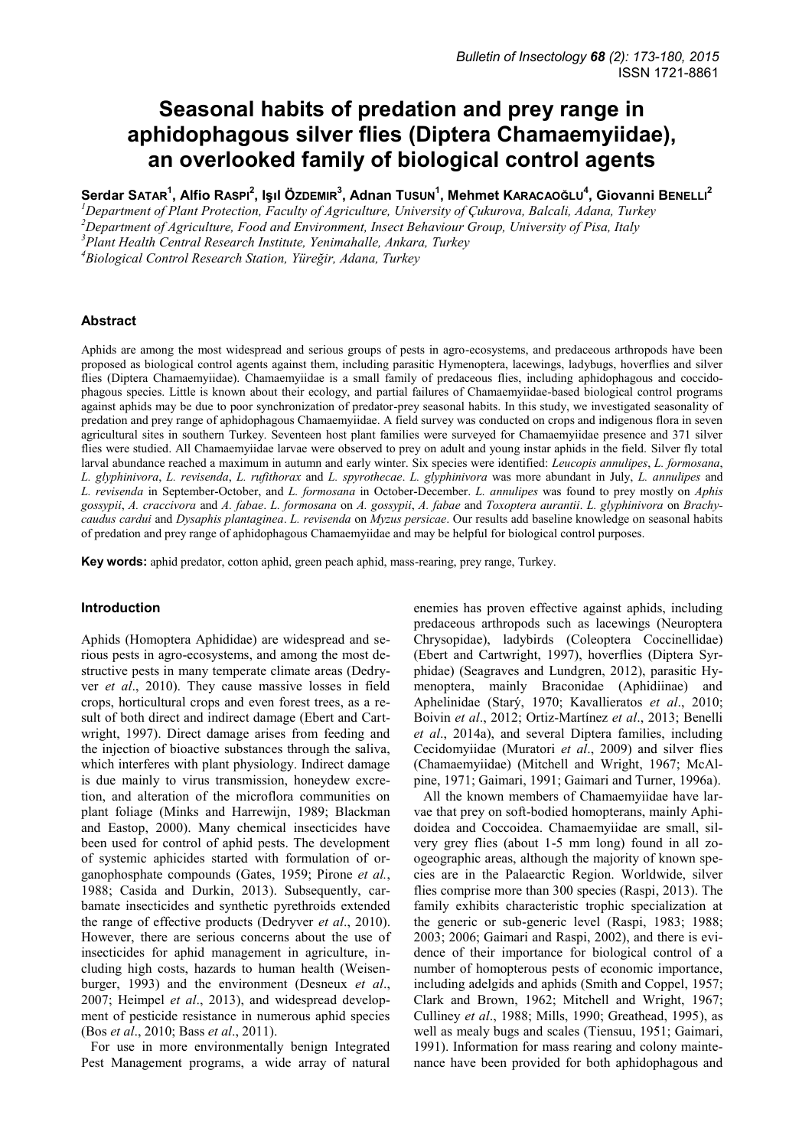# **Seasonal habits of predation and prey range in aphidophagous silver flies (Diptera Chamaemyiidae), an overlooked family of biological control agents**

Serdar SATAR $^{\rm 1}$ , Alfio RASPI $^{\rm 2}$ , Işıl Özdemı ${\rm R}^{\rm 3}$ , Adnan Tusun $^{\rm 1}$ , Mehmet KARACAOĞLU $^{\rm 4}$ , Giovanni B<code>ENELLI $^{\rm 2}$ </code>

*<sup>1</sup>Department of Plant Protection, Faculty of Agriculture, University of Çukurova, Balcali, Adana, Turkey <sup>2</sup>Department of Agriculture, Food and Environment, Insect Behaviour Group, University of Pisa, Italy <sup>3</sup>Plant Health Central Research Institute, Yenimahalle, Ankara, Turkey* 

*<sup>4</sup>Biological Control Research Station, Yüreğir, Adana, Turkey*

### **Abstract**

Aphids are among the most widespread and serious groups of pests in agro-ecosystems, and predaceous arthropods have been proposed as biological control agents against them, including parasitic Hymenoptera, lacewings, ladybugs, hoverflies and silver flies (Diptera Chamaemyiidae). Chamaemyiidae is a small family of predaceous flies, including aphidophagous and coccidophagous species. Little is known about their ecology, and partial failures of Chamaemyiidae-based biological control programs against aphids may be due to poor synchronization of predator-prey seasonal habits. In this study, we investigated seasonality of predation and prey range of aphidophagous Chamaemyiidae. A field survey was conducted on crops and indigenous flora in seven agricultural sites in southern Turkey. Seventeen host plant families were surveyed for Chamaemyiidae presence and 371 silver flies were studied. All Chamaemyiidae larvae were observed to prey on adult and young instar aphids in the field. Silver fly total larval abundance reached a maximum in autumn and early winter. Six species were identified: *Leucopis annulipes*, *L. formosana*, *L. glyphinivora*, *L. revisenda*, *L. rufithorax* and *L. spyrothecae*. *L. glyphinivora* was more abundant in July, *L. annulipes* and *L. revisenda* in September-October, and *L. formosana* in October-December. *L. annulipes* was found to prey mostly on *Aphis gossypii*, *A. craccivora* and *A. fabae*. *L. formosana* on *A. gossypii*, *A. fabae* and *Toxoptera aurantii*. *L. glyphinivora* on *Brachycaudus cardui* and *Dysaphis plantaginea*. *L. revisenda* on *Myzus persicae*. Our results add baseline knowledge on seasonal habits of predation and prey range of aphidophagous Chamaemyiidae and may be helpful for biological control purposes.

**Key words:** aphid predator, cotton aphid, green peach aphid, mass-rearing, prey range, Turkey.

### **Introduction**

Aphids (Homoptera Aphididae) are widespread and serious pests in agro-ecosystems, and among the most destructive pests in many temperate climate areas (Dedryver *et al*., 2010). They cause massive losses in field crops, horticultural crops and even forest trees, as a result of both direct and indirect damage (Ebert and Cartwright, 1997). Direct damage arises from feeding and the injection of bioactive substances through the saliva, which interferes with plant physiology. Indirect damage is due mainly to virus transmission, honeydew excretion, and alteration of the microflora communities on plant foliage (Minks and Harrewijn, 1989; Blackman and Eastop, 2000). Many chemical insecticides have been used for control of aphid pests. The development of systemic aphicides started with formulation of organophosphate compounds (Gates, 1959; Pirone *et al.*, 1988; Casida and Durkin, 2013). Subsequently, carbamate insecticides and synthetic pyrethroids extended the range of effective products (Dedryver *et al*., 2010). However, there are serious concerns about the use of insecticides for aphid management in agriculture, including high costs, hazards to human health (Weisenburger, 1993) and the environment (Desneux *et al*., 2007; Heimpel *et al*., 2013), and widespread development of pesticide resistance in numerous aphid species (Bos *et al*., 2010; Bass *et al*., 2011).

For use in more environmentally benign Integrated Pest Management programs, a wide array of natural

enemies has proven effective against aphids, including predaceous arthropods such as lacewings (Neuroptera Chrysopidae), ladybirds (Coleoptera Coccinellidae) (Ebert and Cartwright, 1997), hoverflies (Diptera Syrphidae) (Seagraves and Lundgren, 2012), parasitic Hymenoptera, mainly Braconidae (Aphidiinae) and Aphelinidae (Starý, 1970; Kavallieratos *et al*., 2010; Boivin *et al*., 2012; Ortiz-Martínez *et al*., 2013; Benelli *et al*., 2014a), and several Diptera families, including Cecidomyiidae (Muratori *et al*., 2009) and silver flies (Chamaemyiidae) (Mitchell and Wright, 1967; McAlpine, 1971; Gaimari, 1991; Gaimari and Turner, 1996a).

All the known members of Chamaemyiidae have larvae that prey on soft-bodied homopterans, mainly Aphidoidea and Coccoidea. Chamaemyiidae are small, silvery grey flies (about 1-5 mm long) found in all zoogeographic areas, although the majority of known species are in the Palaearctic Region. Worldwide, silver flies comprise more than 300 species (Raspi, 2013). The family exhibits characteristic trophic specialization at the generic or sub-generic level (Raspi, 1983; 1988; 2003; 2006; Gaimari and Raspi, 2002), and there is evidence of their importance for biological control of a number of homopterous pests of economic importance, including adelgids and aphids (Smith and Coppel, 1957; Clark and Brown, 1962; Mitchell and Wright, 1967; Culliney *et al*., 1988; Mills, 1990; Greathead, 1995), as well as mealy bugs and scales (Tiensuu, 1951; Gaimari, 1991). Information for mass rearing and colony maintenance have been provided for both aphidophagous and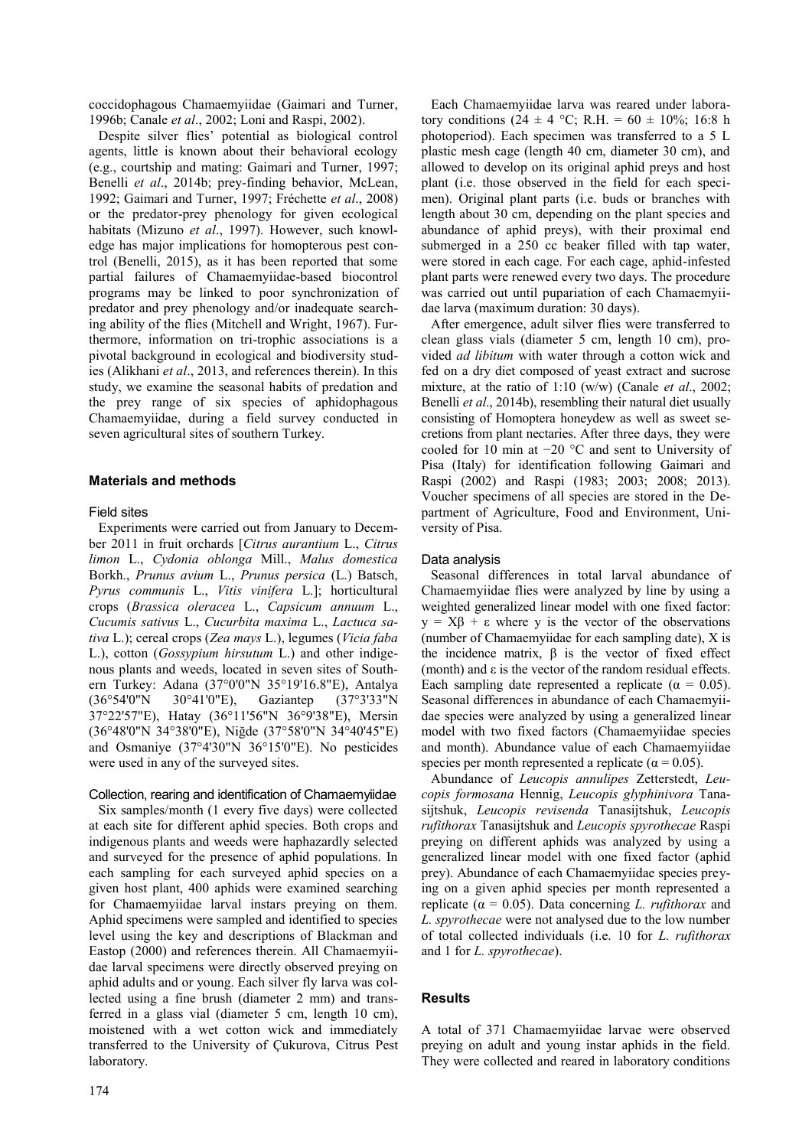coccidophagous Chamaemyiidae (Gaimari and Turner, 1996b; Canale *et al*., 2002; Loni and Raspi, 2002).

Despite silver flies' potential as biological control agents, little is known about their behavioral ecology (e.g., courtship and mating: Gaimari and Turner, 1997; Benelli *et al*., 2014b; prey-finding behavior, McLean, 1992; Gaimari and Turner, 1997; Fréchette *et al*., 2008) or the predator-prey phenology for given ecological habitats (Mizuno *et al*., 1997). However, such knowledge has major implications for homopterous pest control (Benelli, 2015), as it has been reported that some partial failures of Chamaemyiidae-based biocontrol programs may be linked to poor synchronization of predator and prey phenology and/or inadequate searching ability of the flies (Mitchell and Wright, 1967). Furthermore, information on tri-trophic associations is a pivotal background in ecological and biodiversity studies (Alikhani *et al*., 2013, and references therein). In this study, we examine the seasonal habits of predation and the prey range of six species of aphidophagous Chamaemyiidae, during a field survey conducted in seven agricultural sites of southern Turkey.

# **Materials and methods**

# Field sites

Experiments were carried out from January to December 2011 in fruit orchards [*Citrus aurantium* L., *Citrus limon* L., *Cydonia oblonga* Mill., *Malus domestica*  Borkh., *Prunus avium* L., *Prunus persica* (L.) Batsch, *Pyrus communis* L., *Vitis vinifera* L.]; horticultural crops (*Brassica oleracea* L., *Capsicum annuum* L., *Cucumis sativus* L., *Cucurbita maxima* L., *Lactuca sativa* L.); cereal crops (*Zea mays* L.), legumes (*Vicia faba*  L.), cotton (*Gossypium hirsutum* L.) and other indigenous plants and weeds, located in seven sites of Southern Turkey: Adana (37°0'0"N 35°19'16.8"E), Antalya (36°54'0"N 30°41'0"E), Gaziantep (37°3'33"N 37°22'57"E), Hatay (36°11'56"N 36°9'38"E), Mersin (36°48'0"N 34°38'0"E), Niğde (37°58'0"N 34°40'45"E) and Osmaniye (37°4'30"N 36°15'0"E). No pesticides were used in any of the surveyed sites.

# Collection, rearing and identification of Chamaemyiidae

Six samples/month (1 every five days) were collected at each site for different aphid species. Both crops and indigenous plants and weeds were haphazardly selected and surveyed for the presence of aphid populations. In each sampling for each surveyed aphid species on a given host plant, 400 aphids were examined searching for Chamaemyiidae larval instars preying on them. Aphid specimens were sampled and identified to species level using the key and descriptions of Blackman and Eastop (2000) and references therein. All Chamaemyiidae larval specimens were directly observed preying on aphid adults and or young. Each silver fly larva was collected using a fine brush (diameter 2 mm) and transferred in a glass vial (diameter 5 cm, length 10 cm), moistened with a wet cotton wick and immediately transferred to the University of Çukurova, Citrus Pest laboratory.

Each Chamaemyiidae larva was reared under laboratory conditions (24 ± 4 °C; R.H. = 60 ± 10%; 16:8 h photoperiod). Each specimen was transferred to a 5 L plastic mesh cage (length 40 cm, diameter 30 cm), and allowed to develop on its original aphid preys and host plant (i.e. those observed in the field for each specimen). Original plant parts (i.e. buds or branches with length about 30 cm, depending on the plant species and abundance of aphid preys), with their proximal end submerged in a 250 cc beaker filled with tap water, were stored in each cage. For each cage, aphid-infested plant parts were renewed every two days. The procedure was carried out until pupariation of each Chamaemyiidae larva (maximum duration: 30 days).

After emergence, adult silver flies were transferred to clean glass vials (diameter 5 cm, length 10 cm), provided *ad libitum* with water through a cotton wick and fed on a dry diet composed of yeast extract and sucrose mixture, at the ratio of 1:10 (w/w) (Canale *et al*., 2002; Benelli *et al*., 2014b), resembling their natural diet usually consisting of Homoptera honeydew as well as sweet secretions from plant nectaries. After three days, they were cooled for 10 min at −20 °C and sent to University of Pisa (Italy) for identification following Gaimari and Raspi (2002) and Raspi (1983; 2003; 2008; 2013). Voucher specimens of all species are stored in the Department of Agriculture, Food and Environment, University of Pisa.

### Data analysis

Seasonal differences in total larval abundance of Chamaemyiidae flies were analyzed by line by using a weighted generalized linear model with one fixed factor:  $y = X\beta + \varepsilon$  where y is the vector of the observations (number of Chamaemyiidae for each sampling date), X is the incidence matrix, β is the vector of fixed effect (month) and  $\varepsilon$  is the vector of the random residual effects. Each sampling date represented a replicate ( $\alpha = 0.05$ ). Seasonal differences in abundance of each Chamaemyiidae species were analyzed by using a generalized linear model with two fixed factors (Chamaemyiidae species and month). Abundance value of each Chamaemyiidae species per month represented a replicate ( $\alpha$  = 0.05).

Abundance of *Leucopis annulipes* Zetterstedt, *Leucopis formosana* Hennig, *Leucopis glyphinivora* Tanasijtshuk, *Leucopis revisenda* Tanasijtshuk, *Leucopis rufithorax* Tanasijtshuk and *Leucopis spyrothecae* Raspi preying on different aphids was analyzed by using a generalized linear model with one fixed factor (aphid prey). Abundance of each Chamaemyiidae species preying on a given aphid species per month represented a replicate (α = 0.05). Data concerning *L. rufithorax* and *L. spyrothecae* were not analysed due to the low number of total collected individuals (i.e. 10 for *L. rufithorax* and 1 for *L. spyrothecae*).

# **Results**

A total of 371 Chamaemyiidae larvae were observed preying on adult and young instar aphids in the field. They were collected and reared in laboratory conditions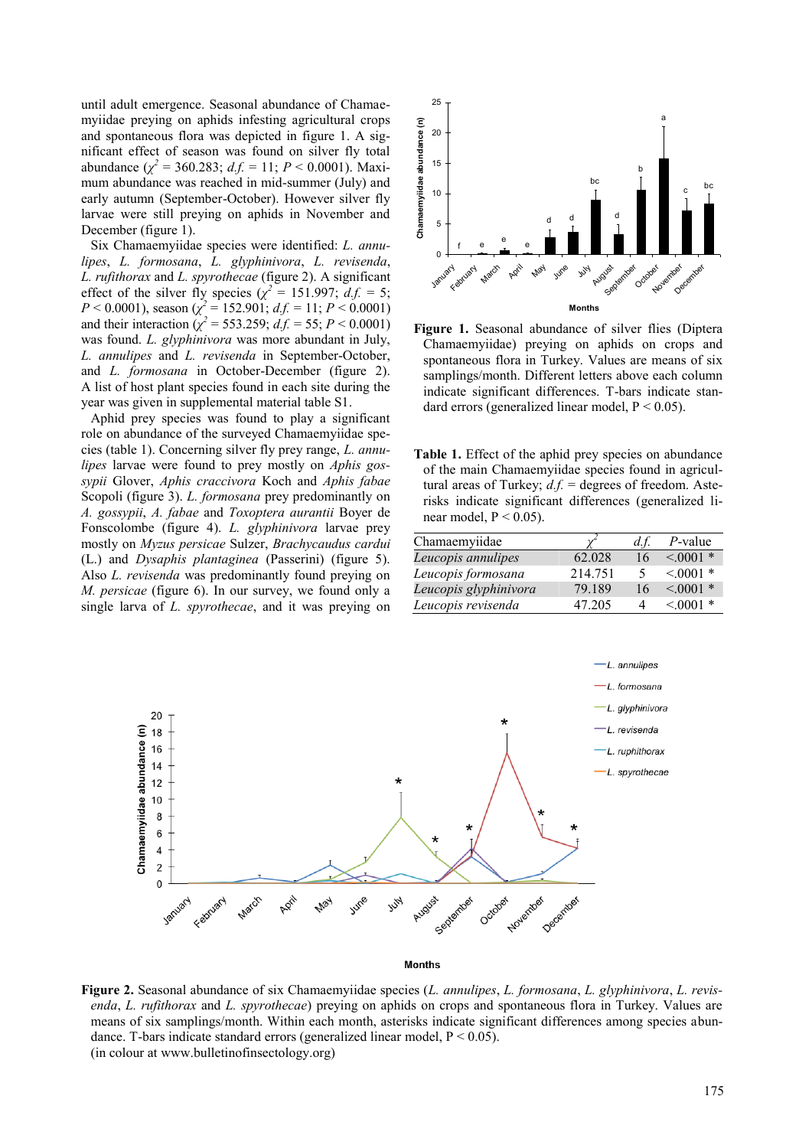until adult emergence. Seasonal abundance of Chamaemyiidae preying on aphids infesting agricultural crops and spontaneous flora was depicted in figure 1. A significant effect of season was found on silver fly total abundance  $(\chi^2 = 360.283; d.f. = 11; P < 0.0001)$ . Maximum abundance was reached in mid-summer (July) and early autumn (September-October). However silver fly larvae were still preying on aphids in November and December (figure 1).

Six Chamaemyiidae species were identified: *L. annulipes*, *L. formosana*, *L. glyphinivora*, *L. revisenda*, *L. rufithorax* and *L. spyrothecae* (figure 2). A significant effect of the silver fly species ( $\chi^2 = 151.997$ ;  $d.f. = 5$ ;  $P < 0.0001$ , season ( $\chi^2 = 152.901$ ;  $d.f. = 11$ ;  $P < 0.0001$ ) and their interaction ( $\chi^2$  = 553.259; *d.f.* = 55; *P* < 0.0001) was found. *L. glyphinivora* was more abundant in July, *L. annulipes* and *L. revisenda* in September-October, and *L. formosana* in October-December (figure 2). A list of host plant species found in each site during the year was given in [supplemental material table S1.](http://www.bulletinofinsectology.org/Suppl/vol68-2015-173-180satar-suppl.doc)

Aphid prey species was found to play a significant role on abundance of the surveyed Chamaemyiidae species (table 1). Concerning silver fly prey range, *L. annulipes* larvae were found to prey mostly on *Aphis gossypii* Glover, *Aphis craccivora* Koch and *Aphis fabae*  Scopoli (figure 3). *L. formosana* prey predominantly on *A. gossypii*, *A. fabae* and *Toxoptera aurantii* Boyer de Fonscolombe (figure 4). *L. glyphinivora* larvae prey mostly on *Myzus persicae* Sulzer, *Brachycaudus cardui*  (L.) and *Dysaphis plantaginea* (Passerini) (figure 5). Also *L. revisenda* was predominantly found preying on *M. persicae* (figure 6). In our survey, we found only a single larva of *L. spyrothecae*, and it was preying on



**Figure 1.** Seasonal abundance of silver flies (Diptera Chamaemyiidae) preying on aphids on crops and spontaneous flora in Turkey. Values are means of six samplings/month. Different letters above each column indicate significant differences. T-bars indicate standard errors (generalized linear model,  $P < 0.05$ ).

**Table 1.** Effect of the aphid prey species on abundance of the main Chamaemyiidae species found in agricultural areas of Turkey;  $d.f.$  = degrees of freedom. Asterisks indicate significant differences (generalized linear model,  $P < 0.05$ ).

| Chamaemyiidae         |         | d.f. | $P$ -value  |
|-----------------------|---------|------|-------------|
| Leucopis annulipes    | 62.028  | 16   | $< 0.001$ * |
| Leucopis formosana    | 214.751 | 5    | $< 0001$ *  |
| Leucopis glyphinivora | 79.189  | 16   | $< 0001$ *  |
| Leucopis revisenda    | 47 205  |      | $< 0.001$ * |



#### **Months**

**Figure 2.** Seasonal abundance of six Chamaemyiidae species (*L. annulipes*, *L. formosana*, *L. glyphinivora*, *L. revisenda*, *L. rufithorax* and *L. spyrothecae*) preying on aphids on crops and spontaneous flora in Turkey. Values are means of six samplings/month. Within each month, asterisks indicate significant differences among species abundance. T-bars indicate standard errors (generalized linear model,  $P \le 0.05$ ). (in colour at www.bulletinofinsectology.org)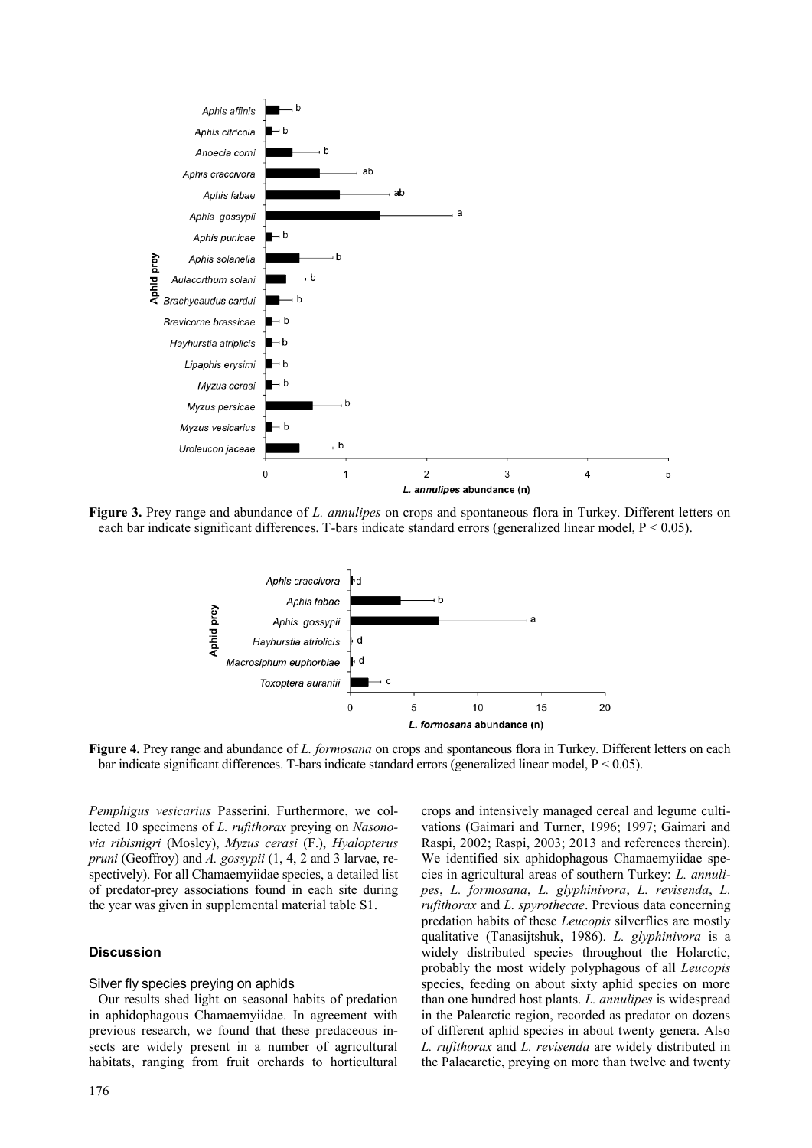

**Figure 3.** Prey range and abundance of *L. annulipes* on crops and spontaneous flora in Turkey. Different letters on each bar indicate significant differences. T-bars indicate standard errors (generalized linear model, P < 0.05).



**Figure 4.** Prey range and abundance of *L. formosana* on crops and spontaneous flora in Turkey. Different letters on each bar indicate significant differences. T-bars indicate standard errors (generalized linear model, P < 0.05).

*Pemphigus vesicarius* Passerini. Furthermore, we collected 10 specimens of *L. rufithorax* preying on *Nasonovia ribisnigri* (Mosley), *Myzus cerasi* (F.), *Hyalopterus pruni* (Geoffroy) and *A. gossypii* (1, 4, 2 and 3 larvae, respectively). For all Chamaemyiidae species, a detailed list of predator-prey associations found in each site during the year was given in [supplemental material table S1.](http://www.bulletinofinsectology.org/Suppl/vol68-2015-173-180satar-suppl.doc) 

### **Discussion**

### Silver fly species preying on aphids

Our results shed light on seasonal habits of predation in aphidophagous Chamaemyiidae. In agreement with previous research, we found that these predaceous insects are widely present in a number of agricultural habitats, ranging from fruit orchards to horticultural

crops and intensively managed cereal and legume cultivations (Gaimari and Turner, 1996; 1997; Gaimari and Raspi, 2002; Raspi, 2003; 2013 and references therein). We identified six aphidophagous Chamaemyiidae species in agricultural areas of southern Turkey: *L. annulipes*, *L. formosana*, *L. glyphinivora*, *L. revisenda*, *L. rufithorax* and *L. spyrothecae*. Previous data concerning predation habits of these *Leucopis* silverflies are mostly qualitative (Tanasijtshuk, 1986). *L. glyphinivora* is a widely distributed species throughout the Holarctic, probably the most widely polyphagous of all *Leucopis* species, feeding on about sixty aphid species on more than one hundred host plants. *L. annulipes* is widespread in the Palearctic region, recorded as predator on dozens of different aphid species in about twenty genera. Also *L. rufithorax* and *L. revisenda* are widely distributed in the Palaearctic, preying on more than twelve and twenty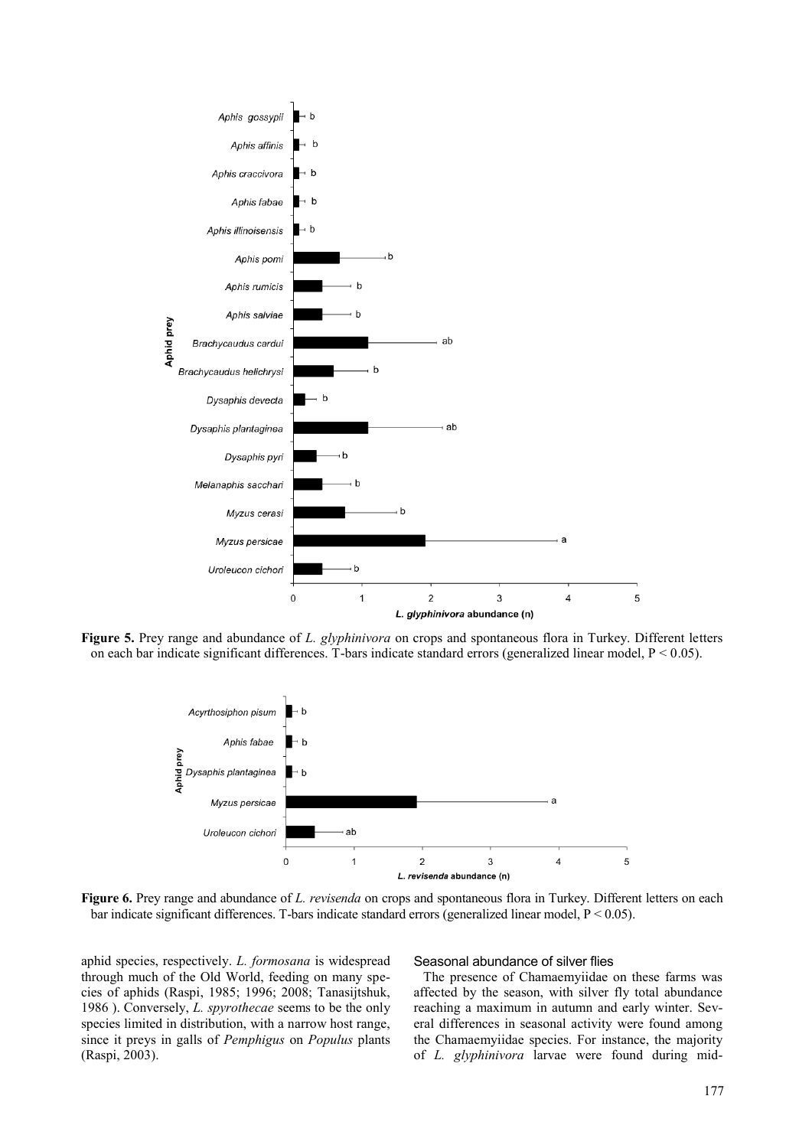

**Figure 5.** Prey range and abundance of *L. glyphinivora* on crops and spontaneous flora in Turkey. Different letters on each bar indicate significant differences. T-bars indicate standard errors (generalized linear model,  $P < 0.05$ ).



**Figure 6.** Prey range and abundance of *L. revisenda* on crops and spontaneous flora in Turkey. Different letters on each bar indicate significant differences. T-bars indicate standard errors (generalized linear model, P < 0.05).

aphid species, respectively. *L. formosana* is widespread through much of the Old World, feeding on many species of aphids (Raspi, 1985; 1996; 2008; Tanasijtshuk, 1986 ). Conversely, *L. spyrothecae* seems to be the only species limited in distribution, with a narrow host range, since it preys in galls of *Pemphigus* on *Populus* plants (Raspi, 2003).

### Seasonal abundance of silver flies

The presence of Chamaemyiidae on these farms was affected by the season, with silver fly total abundance reaching a maximum in autumn and early winter. Several differences in seasonal activity were found among the Chamaemyiidae species. For instance, the majority of *L. glyphinivora* larvae were found during mid-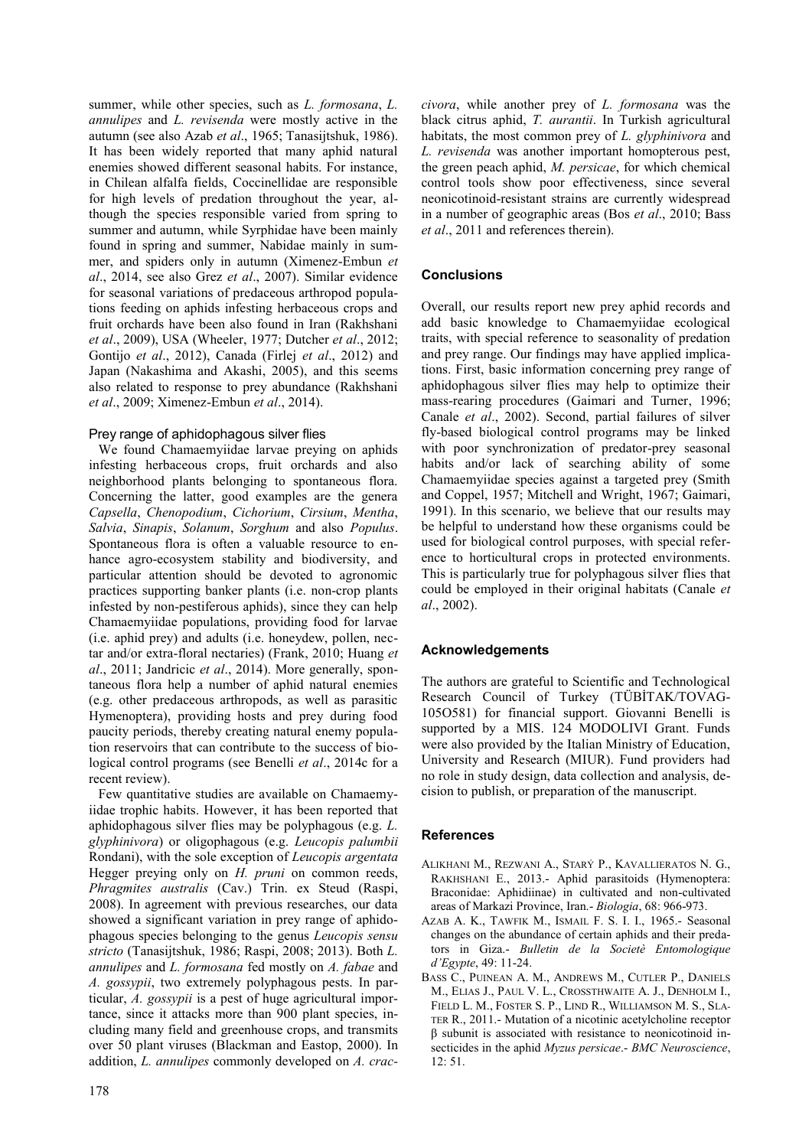summer, while other species, such as *L. formosana*, *L. annulipes* and *L. revisenda* were mostly active in the autumn (see also Azab *et al*., 1965; Tanasijtshuk, 1986). It has been widely reported that many aphid natural enemies showed different seasonal habits. For instance, in Chilean alfalfa fields, Coccinellidae are responsible for high levels of predation throughout the year, although the species responsible varied from spring to summer and autumn, while Syrphidae have been mainly found in spring and summer, Nabidae mainly in summer, and spiders only in autumn (Ximenez-Embun *et al*., 2014, see also Grez *et al*., 2007). Similar evidence for seasonal variations of predaceous arthropod populations feeding on aphids infesting herbaceous crops and fruit orchards have been also found in Iran (Rakhshani *et al*., 2009), USA (Wheeler, 1977; Dutcher *et al*., 2012; Gontijo *et al*., 2012), Canada (Firlej *et al*., 2012) and Japan (Nakashima and Akashi, 2005), and this seems also related to response to prey abundance (Rakhshani *et al*., 2009; Ximenez-Embun *et al*., 2014).

# Prey range of aphidophagous silver flies

We found Chamaemyiidae larvae preying on aphids infesting herbaceous crops, fruit orchards and also neighborhood plants belonging to spontaneous flora. Concerning the latter, good examples are the genera *Capsella*, *Chenopodium*, *Cichorium*, *Cirsium*, *Mentha*, *Salvia*, *Sinapis*, *Solanum*, *Sorghum* and also *Populus*. Spontaneous flora is often a valuable resource to enhance agro-ecosystem stability and biodiversity, and particular attention should be devoted to agronomic practices supporting banker plants (i.e. non-crop plants infested by non-pestiferous aphids), since they can help Chamaemyiidae populations, providing food for larvae (i.e. aphid prey) and adults (i.e. honeydew, pollen, nectar and/or extra-floral nectaries) (Frank, 2010; Huang *et al*., 2011; Jandricic *et al*., 2014). More generally, spontaneous flora help a number of aphid natural enemies (e.g. other predaceous arthropods, as well as parasitic Hymenoptera), providing hosts and prey during food paucity periods, thereby creating natural enemy population reservoirs that can contribute to the success of biological control programs (see Benelli *et al*., 2014c for a recent review).

Few quantitative studies are available on Chamaemyiidae trophic habits. However, it has been reported that aphidophagous silver flies may be polyphagous (e.g. *L. glyphinivora*) or oligophagous (e.g. *Leucopis palumbii* Rondani), with the sole exception of *Leucopis argentata* Hegger preying only on *H. pruni* on common reeds, *Phragmites australis* (Cav.) Trin. ex Steud (Raspi, 2008). In agreement with previous researches, our data showed a significant variation in prey range of aphidophagous species belonging to the genus *Leucopis sensu stricto* (Tanasijtshuk, 1986; Raspi, 2008; 2013). Both *L. annulipes* and *L. formosana* fed mostly on *A. fabae* and *A. gossypii*, two extremely polyphagous pests. In particular, *A. gossypii* is a pest of huge agricultural importance, since it attacks more than 900 plant species, including many field and greenhouse crops, and transmits over 50 plant viruses (Blackman and Eastop, 2000). In addition, *L. annulipes* commonly developed on *A. crac-* *civora*, while another prey of *L. formosana* was the black citrus aphid, *T. aurantii*. In Turkish agricultural habitats, the most common prey of *L. glyphinivora* and *L. revisenda* was another important homopterous pest, the green peach aphid, *M. persicae*, for which chemical control tools show poor effectiveness, since several neonicotinoid-resistant strains are currently widespread in a number of geographic areas (Bos *et al*., 2010; Bass *et al*., 2011 and references therein).

# **Conclusions**

Overall, our results report new prey aphid records and add basic knowledge to Chamaemyiidae ecological traits, with special reference to seasonality of predation and prey range. Our findings may have applied implications. First, basic information concerning prey range of aphidophagous silver flies may help to optimize their mass-rearing procedures (Gaimari and Turner, 1996; Canale *et al*., 2002). Second, partial failures of silver fly-based biological control programs may be linked with poor synchronization of predator-prey seasonal habits and/or lack of searching ability of some Chamaemyiidae species against a targeted prey (Smith and Coppel, 1957; Mitchell and Wright, 1967; Gaimari, 1991). In this scenario, we believe that our results may be helpful to understand how these organisms could be used for biological control purposes, with special reference to horticultural crops in protected environments. This is particularly true for polyphagous silver flies that could be employed in their original habitats (Canale *et al*., 2002).

# **Acknowledgements**

The authors are grateful to Scientific and Technological Research Council of Turkey (TÜBİTAK/TOVAG-105O581) for financial support. Giovanni Benelli is supported by a MIS. 124 MODOLIVI Grant. Funds were also provided by the Italian Ministry of Education, University and Research (MIUR). Fund providers had no role in study design, data collection and analysis, decision to publish, or preparation of the manuscript.

# **References**

- ALIKHANI M., REZWANI A., STARÝ P., KAVALLIERATOS N. G., RAKHSHANI E., 2013.- Aphid parasitoids (Hymenoptera: Braconidae: Aphidiinae) in cultivated and non-cultivated areas of Markazi Province, Iran.- *Biologia*, 68: 966-973.
- AZAB A. K., TAWFIK M., ISMAIL F. S. I. I., 1965.- Seasonal changes on the abundance of certain aphids and their predators in Giza.- *Bulletin de la Societè Entomologique d'Egypte*, 49: 11-24.
- BASS C., PUINEAN A. M., ANDREWS M., CUTLER P., DANIELS M., ELIAS J., PAUL V. L., CROSSTHWAITE A. J., DENHOLM I., FIELD L. M., FOSTER S. P., LIND R., WILLIAMSON M. S., SLA-TER R., 2011.- Mutation of a nicotinic acetylcholine receptor β subunit is associated with resistance to neonicotinoid insecticides in the aphid *Myzus persicae*.- *BMC Neuroscience*, 12: 51.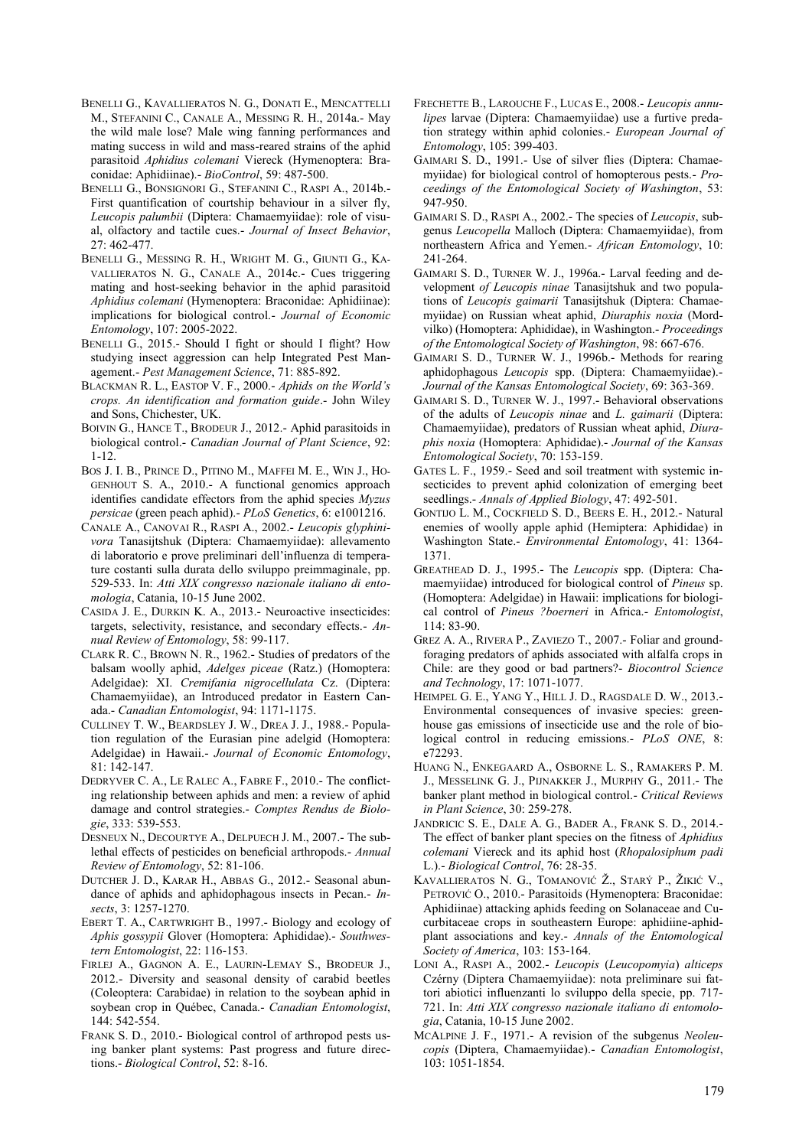- BENELLI G., KAVALLIERATOS N. G., DONATI E., MENCATTELLI M., STEFANINI C., CANALE A., MESSING R. H., 2014a.- May the wild male lose? Male wing fanning performances and mating success in wild and mass-reared strains of the aphid parasitoid *Aphidius colemani* Viereck (Hymenoptera: Braconidae: Aphidiinae).- *BioControl*, 59: 487-500.
- BENELLI G., BONSIGNORI G., STEFANINI C., RASPI A., 2014b.- First quantification of courtship behaviour in a silver fly, *Leucopis palumbii* (Diptera: Chamaemyiidae): role of visual, olfactory and tactile cues.- *Journal of Insect Behavior*, 27: 462-477.
- BENELLI G., MESSING R. H., WRIGHT M. G., GIUNTI G., KA-VALLIERATOS N. G., CANALE A., 2014c.- Cues triggering mating and host-seeking behavior in the aphid parasitoid *Aphidius colemani* (Hymenoptera: Braconidae: Aphidiinae): implications for biological control.- *Journal of Economic Entomology*, 107: 2005-2022.
- BENELLI G., 2015.- Should I fight or should I flight? How studying insect aggression can help Integrated Pest Management.- *Pest Management Science*, 71: 885-892.
- BLACKMAN R. L., EASTOP V. F., 2000.- *Aphids on the World's crops. An identification and formation guide*.- John Wiley and Sons, Chichester, UK.
- BOIVIN G., HANCE T., BRODEUR J., 2012.- Aphid parasitoids in biological control.- *Canadian Journal of Plant Science*, 92: 1-12.
- BOS J. I. B., PRINCE D., PITINO M., MAFFEI M. E., WIN J., HO-GENHOUT S. A., 2010.- A functional genomics approach identifies candidate effectors from the aphid species *Myzus persicae* (green peach aphid).- *PLoS Genetics*, 6: e1001216.
- CANALE A., CANOVAI R., RASPI A., 2002.- *Leucopis glyphinivora* Tanasijtshuk (Diptera: Chamaemyiidae): allevamento di laboratorio e prove preliminari dell'influenza di temperature costanti sulla durata dello sviluppo preimmaginale, pp. 529-533. In: *Atti XIX congresso nazionale italiano di entomologia*, Catania, 10-15 June 2002.
- CASIDA J. E., DURKIN K. A., 2013.- Neuroactive insecticides: targets, selectivity, resistance, and secondary effects.- *Annual Review of Entomology*, 58: 99-117.
- CLARK R. C., BROWN N. R., 1962.- Studies of predators of the balsam woolly aphid, *Adelges piceae* (Ratz.) (Homoptera: Adelgidae): XI. *Cremifania nigrocellulata* Cz. (Diptera: Chamaemyiidae), an Introduced predator in Eastern Canada.- *Canadian Entomologist*, 94: 1171-1175.
- CULLINEY T. W., BEARDSLEY J. W., DREA J. J., 1988.- Population regulation of the Eurasian pine adelgid (Homoptera: Adelgidae) in Hawaii.- *Journal of Economic Entomology*, 81: 142-147.
- DEDRYVER C. A., LE RALEC A., FABRE F., 2010.- The conflicting relationship between aphids and men: a review of aphid damage and control strategies.- *Comptes Rendus de Biologie*, 333: 539-553.
- DESNEUX N., DECOURTYE A., DELPUECH J. M., 2007.- The sublethal effects of pesticides on beneficial arthropods.- *Annual Review of Entomology*, 52: 81-106.
- DUTCHER J. D., KARAR H., ABBAS G., 2012.- Seasonal abundance of aphids and aphidophagous insects in Pecan.- *Insects*, 3: 1257-1270.
- EBERT T. A., CARTWRIGHT B., 1997.- Biology and ecology of *Aphis gossypii* Glover (Homoptera: Aphididae).- *Southwestern Entomologist*, 22: 116-153.
- FIRLEJ A., GAGNON A. E., LAURIN-LEMAY S., BRODEUR J., 2012.- Diversity and seasonal density of carabid beetles (Coleoptera: Carabidae) in relation to the soybean aphid in soybean crop in Québec, Canada.- *Canadian Entomologist*, 144: 542-554.
- FRANK S. D., 2010.- Biological control of arthropod pests using banker plant systems: Past progress and future directions.- *Biological Control*, 52: 8-16.
- FRECHETTE B., LAROUCHE F., LUCAS E., 2008.- *Leucopis annulipes* larvae (Diptera: Chamaemyiidae) use a furtive predation strategy within aphid colonies.- *European Journal of Entomology*, 105: 399-403.
- GAIMARI S. D., 1991.- Use of silver flies (Diptera: Chamaemyiidae) for biological control of homopterous pests.- *Proceedings of the Entomological Society of Washington*, 53: 947-950.
- GAIMARI S. D., RASPI A., 2002.- The species of *Leucopis*, subgenus *Leucopella* Malloch (Diptera: Chamaemyiidae), from northeastern Africa and Yemen.- *African Entomology*, 10: 241-264.
- GAIMARI S. D., TURNER W. J., 1996a.- Larval feeding and development *of Leucopis ninae* Tanasijtshuk and two populations of *Leucopis gaimarii* Tanasijtshuk (Diptera: Chamaemyiidae) on Russian wheat aphid, *Diuraphis noxia* (Mordvilko) (Homoptera: Aphididae), in Washington.- *Proceedings of the Entomological Society of Washington*, 98: 667-676.
- GAIMARI S. D., TURNER W. J., 1996b.- Methods for rearing aphidophagous *Leucopis* spp. (Diptera: Chamaemyiidae).- *Journal of the Kansas Entomological Society*, 69: 363-369.
- GAIMARI S. D., TURNER W. J., 1997.- Behavioral observations of the adults of *Leucopis ninae* and *L. gaimarii* (Diptera: Chamaemyiidae), predators of Russian wheat aphid, *Diuraphis noxia* (Homoptera: Aphididae).- *Journal of the Kansas Entomological Society*, 70: 153-159.
- GATES L. F., 1959.- Seed and soil treatment with systemic insecticides to prevent aphid colonization of emerging beet seedlings.- *Annals of Applied Biology*, 47: 492-501.
- GONTIJO L. M., COCKFIELD S. D., BEERS E. H., 2012.- Natural enemies of woolly apple aphid (Hemiptera: Aphididae) in Washington State.- *Environmental Entomology*, 41: 1364- 1371.
- GREATHEAD D. J., 1995.- The *Leucopis* spp. (Diptera: Chamaemyiidae) introduced for biological control of *Pineus* sp. (Homoptera: Adelgidae) in Hawaii: implications for biological control of *Pineus ?boerneri* in Africa.- *Entomologist*,  $114.83 - 90$
- GREZ A. A., RIVERA P., ZAVIEZO T., 2007.- Foliar and groundforaging predators of aphids associated with alfalfa crops in Chile: are they good or bad partners?- *Biocontrol Science and Technology*, 17: 1071-1077.
- HEIMPEL G. E., YANG Y., HILL J. D., RAGSDALE D. W., 2013.- Environmental consequences of invasive species: greenhouse gas emissions of insecticide use and the role of biological control in reducing emissions.- *PLoS ONE*, 8: e72293.
- HUANG N., ENKEGAARD A., OSBORNE L. S., RAMAKERS P. M. J., MESSELINK G. J., PIJNAKKER J., MURPHY G., 2011.- The banker plant method in biological control.- *Critical Reviews in Plant Science*, 30: 259-278.
- JANDRICIC S. E., DALE A. G., BADER A., FRANK S. D., 2014.- The effect of banker plant species on the fitness of *Aphidius colemani* Viereck and its aphid host (*Rhopalosiphum padi* L.).- *Biological Control*, 76: 28-35.
- KAVALLIERATOS N. G., TOMANOVIĆ Ž., STARÝ P., ŽIKIĆ V., PETROVIĆ O., 2010.- Parasitoids (Hymenoptera: Braconidae: Aphidiinae) attacking aphids feeding on Solanaceae and Cucurbitaceae crops in southeastern Europe: aphidiine-aphidplant associations and key.- *Annals of the Entomological Society of America*, 103: 153-164.
- LONI A., RASPI A., 2002.- *Leucopis* (*Leucopomyia*) *alticeps* Czérny (Diptera Chamaemyiidae): nota preliminare sui fattori abiotici influenzanti lo sviluppo della specie, pp. 717- 721. In: *Atti XIX congresso nazionale italiano di entomologia*, Catania, 10-15 June 2002.
- MCALPINE J. F., 1971.- A revision of the subgenus *Neoleucopis* (Diptera, Chamaemyiidae).- *Canadian Entomologist*, 103: 1051-1854.